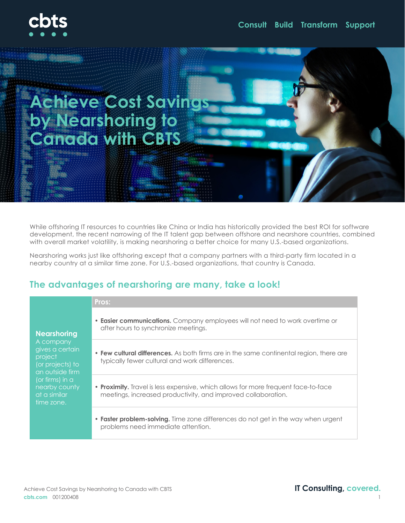

# **Achieve Cost Savings by Nearshoring to Canada with CBTS**

While offshoring IT resources to countries like China or India has historically provided the best ROI for software development, the recent narrowing of the IT talent gap between offshore and nearshore countries, combined with overall market volatility, is making nearshoring a better choice for many U.S.-based organizations.

Nearshoring works just like offshoring except that a company partners with a third-party firm located in a nearby country at a similar time zone. For U.S.-based organizations, that country is Canada.

## **The advantages of nearshoring are many, take a look!**

**Pros:**

#### **Nearshoring**

A company gives a certain project (or projects) to an outside firm (or firms) in a nearby county at a similar time zone.

- **Easier communications.** Company employees will not need to work overtime or after hours to synchronize meetings.
- **Few cultural differences.** As both firms are in the same continental region, there are typically fewer cultural and work differences.
- **Proximity.** Travel is less expensive, which allows for more frequent face-to-face meetings, increased productivity, and improved collaboration.
- **Faster problem-solving.** Time zone differences do not get in the way when urgent problems need immediate attention.